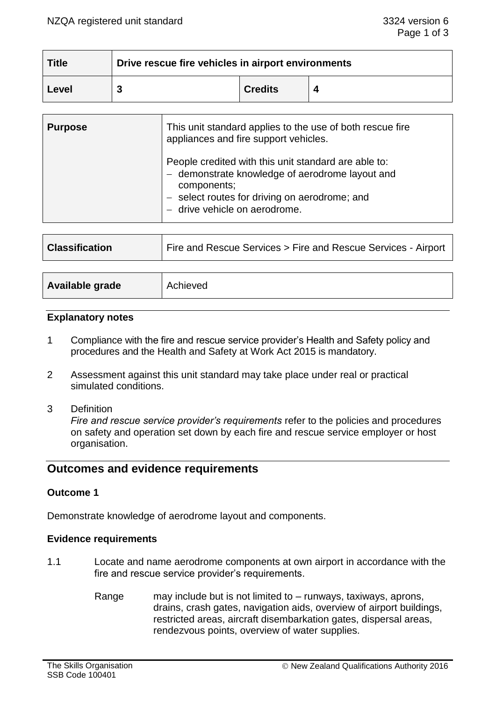| <b>Title</b> | Drive rescue fire vehicles in airport environments |                |  |
|--------------|----------------------------------------------------|----------------|--|
| Level        |                                                    | <b>Credits</b> |  |

| <b>Purpose</b> | This unit standard applies to the use of both rescue fire<br>appliances and fire support vehicles.                                                                                                       |  |
|----------------|----------------------------------------------------------------------------------------------------------------------------------------------------------------------------------------------------------|--|
|                | People credited with this unit standard are able to:<br>- demonstrate knowledge of aerodrome layout and<br>components;<br>- select routes for driving on aerodrome; and<br>- drive vehicle on aerodrome. |  |

| <b>Classification</b> | Fire and Rescue Services > Fire and Rescue Services - Airport |
|-----------------------|---------------------------------------------------------------|
|-----------------------|---------------------------------------------------------------|

| Available grade | Achieved |
|-----------------|----------|
|                 |          |

#### **Explanatory notes**

- 1 Compliance with the fire and rescue service provider's Health and Safety policy and procedures and the Health and Safety at Work Act 2015 is mandatory.
- 2 Assessment against this unit standard may take place under real or practical simulated conditions.
- 3 Definition

*Fire and rescue service provider's requirements* refer to the policies and procedures on safety and operation set down by each fire and rescue service employer or host organisation.

# **Outcomes and evidence requirements**

## **Outcome 1**

Demonstrate knowledge of aerodrome layout and components.

#### **Evidence requirements**

- 1.1 Locate and name aerodrome components at own airport in accordance with the fire and rescue service provider's requirements.
	- Range may include but is not limited to runways, taxiways, aprons, drains, crash gates, navigation aids, overview of airport buildings, restricted areas, aircraft disembarkation gates, dispersal areas, rendezvous points, overview of water supplies.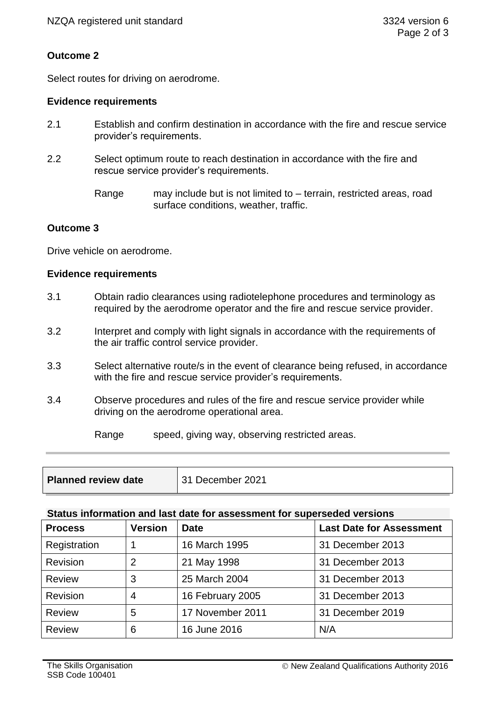# **Outcome 2**

Select routes for driving on aerodrome.

## **Evidence requirements**

- 2.1 Establish and confirm destination in accordance with the fire and rescue service provider's requirements.
- 2.2 Select optimum route to reach destination in accordance with the fire and rescue service provider's requirements.
	- Range may include but is not limited to terrain, restricted areas, road surface conditions, weather, traffic.

## **Outcome 3**

Drive vehicle on aerodrome.

### **Evidence requirements**

- 3.1 Obtain radio clearances using radiotelephone procedures and terminology as required by the aerodrome operator and the fire and rescue service provider.
- 3.2 Interpret and comply with light signals in accordance with the requirements of the air traffic control service provider.
- 3.3 Select alternative route/s in the event of clearance being refused, in accordance with the fire and rescue service provider's requirements.
- 3.4 Observe procedures and rules of the fire and rescue service provider while driving on the aerodrome operational area.

Range speed, giving way, observing restricted areas.

| <b>Planned review date</b> | 31 December 2021 |
|----------------------------|------------------|
|                            |                  |

# **Status information and last date for assessment for superseded versions**

| <b>Process</b>  | <b>Version</b> | Date             | <b>Last Date for Assessment</b> |
|-----------------|----------------|------------------|---------------------------------|
| Registration    |                | 16 March 1995    | 31 December 2013                |
| Revision        | 2              | 21 May 1998      | 31 December 2013                |
| <b>Review</b>   | 3              | 25 March 2004    | 31 December 2013                |
| <b>Revision</b> | 4              | 16 February 2005 | 31 December 2013                |
| <b>Review</b>   | 5              | 17 November 2011 | 31 December 2019                |
| <b>Review</b>   | 6              | 16 June 2016     | N/A                             |